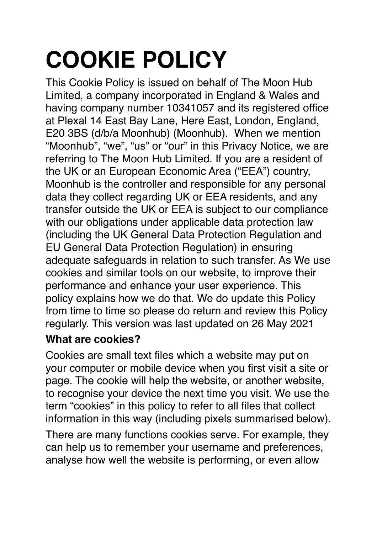# **COOKIE POLICY**

This Cookie Policy is issued on behalf of The Moon Hub Limited, a company incorporated in England & Wales and having company number 10341057 and its registered office at Plexal 14 East Bay Lane, Here East, London, England, E20 3BS (d/b/a Moonhub) (Moonhub). When we mention "Moonhub", "we", "us" or "our" in this Privacy Notice, we are referring to The Moon Hub Limited. If you are a resident of the UK or an European Economic Area ("EEA") country, Moonhub is the controller and responsible for any personal data they collect regarding UK or EEA residents, and any transfer outside the UK or EEA is subject to our compliance with our obligations under applicable data protection law (including the UK General Data Protection Regulation and EU General Data Protection Regulation) in ensuring adequate safeguards in relation to such transfer. As We use cookies and similar tools on our website, to improve their performance and enhance your user experience. This policy explains how we do that. We do update this Policy from time to time so please do return and review this Policy regularly. This version was last updated on 26 May 2021

## **What are cookies?**

Cookies are small text files which a website may put on your computer or mobile device when you first visit a site or page. The cookie will help the website, or another website, to recognise your device the next time you visit. We use the term "cookies" in this policy to refer to all files that collect information in this way (including pixels summarised below).

There are many functions cookies serve. For example, they can help us to remember your username and preferences, analyse how well the website is performing, or even allow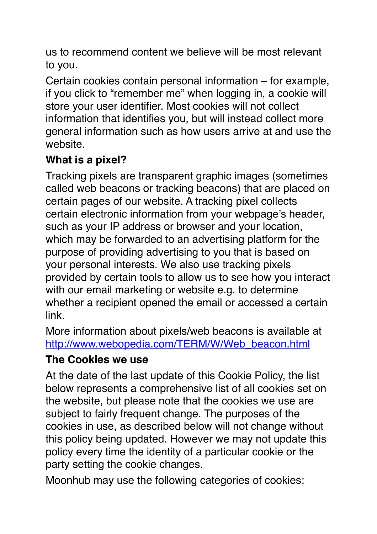us to recommend content we believe will be most relevant to you.

Certain cookies contain personal information – for example, if you click to "remember me" when logging in, a cookie will store your user identifier. Most cookies will not collect information that identifies you, but will instead collect more general information such as how users arrive at and use the website.

## **What is a pixel?**

Tracking pixels are transparent graphic images (sometimes called web beacons or tracking beacons) that are placed on certain pages of our website. A tracking pixel collects certain electronic information from your webpage's header, such as your IP address or browser and your location, which may be forwarded to an advertising platform for the purpose of providing advertising to you that is based on your personal interests. We also use tracking pixels provided by certain tools to allow us to see how you interact with our email marketing or website e.g. to determine whether a recipient opened the email or accessed a certain link.

More information about pixels/web beacons is available at [http://www.webopedia.com/TERM/W/Web\\_beacon.html](http://www.webopedia.com/TERM/W/Web_beacon.html)

#### **The Cookies we use**

At the date of the last update of this Cookie Policy, the list below represents a comprehensive list of all cookies set on the website, but please note that the cookies we use are subject to fairly frequent change. The purposes of the cookies in use, as described below will not change without this policy being updated. However we may not update this policy every time the identity of a particular cookie or the party setting the cookie changes.

Moonhub may use the following categories of cookies: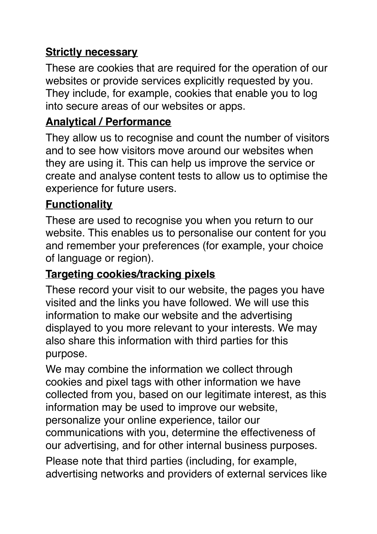## **Strictly necessary**

These are cookies that are required for the operation of our websites or provide services explicitly requested by you. They include, for example, cookies that enable you to log into secure areas of our websites or apps.

## **Analytical / Performance**

They allow us to recognise and count the number of visitors and to see how visitors move around our websites when they are using it. This can help us improve the service or create and analyse content tests to allow us to optimise the experience for future users.

## **Functionality**

These are used to recognise you when you return to our website. This enables us to personalise our content for you and remember your preferences (for example, your choice of language or region).

#### **Targeting cookies/tracking pixels**

These record your visit to our website, the pages you have visited and the links you have followed. We will use this information to make our website and the advertising displayed to you more relevant to your interests. We may also share this information with third parties for this purpose.

We may combine the information we collect through cookies and pixel tags with other information we have collected from you, based on our legitimate interest, as this information may be used to improve our website, personalize your online experience, tailor our communications with you, determine the effectiveness of our advertising, and for other internal business purposes.

Please note that third parties (including, for example, advertising networks and providers of external services like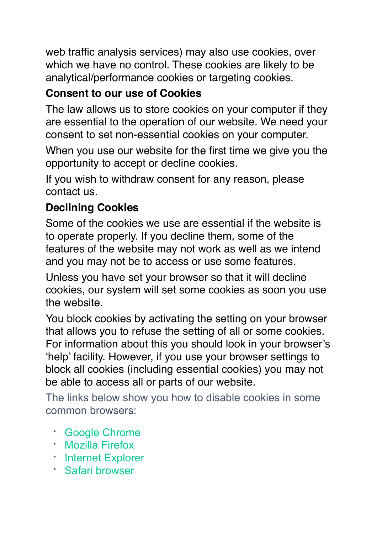web traffic analysis services) may also use cookies, over which we have no control. These cookies are likely to be analytical/performance cookies or targeting cookies.

## **Consent to our use of Cookies**

The law allows us to store cookies on your computer if they are essential to the operation of our website. We need your consent to set non-essential cookies on your computer.

When you use our website for the first time we give you the opportunity to accept or decline cookies.

If you wish to withdraw consent for any reason, please contact us.

## **Declining Cookies**

Some of the cookies we use are essential if the website is to operate properly. If you decline them, some of the features of the website may not work as well as we intend and you may not be to access or use some features.

Unless you have set your browser so that it will decline cookies, our system will set some cookies as soon you use the website.

You block cookies by activating the setting on your browser that allows you to refuse the setting of all or some cookies. For information about this you should look in your browser's 'help' facility. However, if you use your browser settings to block all cookies (including essential cookies) you may not be able to access all or parts of our website.

The links below show you how to disable cookies in some common browsers:

- [Google Chrome](https://support.google.com/chrome/bin/answer.py?hl=en&answer=95647)
- [Mozilla Firefox](https://support.mozilla.org/en-US/kb/cookies-information-websites-store-on-your-computer)
- [Internet Explorer](http://windows.microsoft.com/en-US/windows7/Block-enable-or-allow-cookies)
- [Safari browser](https://support.apple.com/en-gb/HT201265)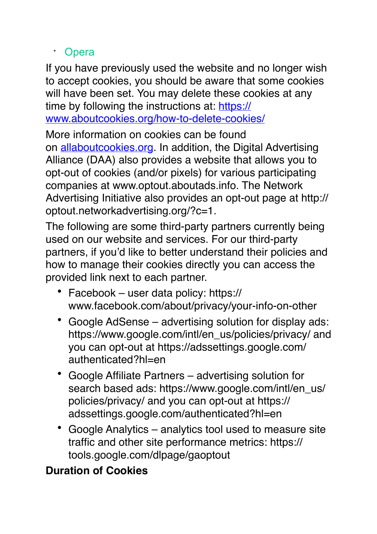#### • [Opera](http://www.opera.com/help/tutorials/security/privacy/)

If you have previously used the website and no longer wish to accept cookies, you should be aware that some cookies will have been set. You may delete these cookies at any time by following the instructions at: [https://](https://www.aboutcookies.org/how-to-delete-cookies/) [www.aboutcookies.org/how-to-delete-cookies/](https://www.aboutcookies.org/how-to-delete-cookies/)

More information on cookies can be found on [allaboutcookies.org](https://www.allaboutcookies.org/). In addition, the Digital Advertising Alliance (DAA) also provides a website that allows you to opt-out of cookies (and/or pixels) for various participating companies at www.optout.aboutads.info. The Network Advertising Initiative also provides an opt-out page at http:// optout.networkadvertising.org/?c=1.

The following are some third-party partners currently being used on our website and services. For our third-party partners, if you'd like to better understand their policies and how to manage their cookies directly you can access the provided link next to each partner.

- Facebook user data policy: https:// www.facebook.com/about/privacy/your-info-on-other
- Google AdSense advertising solution for display ads: https://www.google.com/intl/en\_us/policies/privacy/ and you can opt-out at https://adssettings.google.com/ authenticated?hl=en
- Google Affiliate Partners advertising solution for search based ads: https://www.google.com/intl/en\_us/ policies/privacy/ and you can opt-out at https:// adssettings.google.com/authenticated?hl=en
- Google Analytics analytics tool used to measure site traffic and other site performance metrics: https:// tools.google.com/dlpage/gaoptout

## **Duration of Cookies**